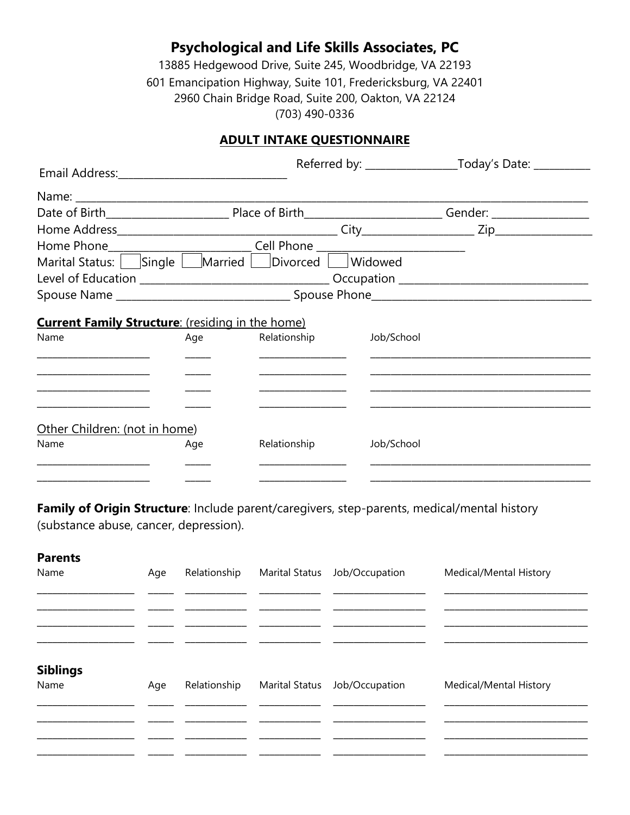13885 Hedgewood Drive, Suite 245, Woodbridge, VA 22193 601 Emancipation Highway, Suite 101, Fredericksburg, VA 22401 2960 Chain Bridge Road, Suite 200, Oakton, VA 22124 (703) 490-0336

#### **ADULT INTAKE QUESTIONNAIRE**

|                                                                                  |     |              |            | Gender: __________________ |  |
|----------------------------------------------------------------------------------|-----|--------------|------------|----------------------------|--|
|                                                                                  |     |              |            |                            |  |
| Home Phone___________________________Cell Phone ________________________________ |     |              |            |                            |  |
| Marital Status:   Single   Married   Divorced   Widowed                          |     |              |            |                            |  |
|                                                                                  |     |              |            |                            |  |
|                                                                                  |     |              |            |                            |  |
| <b>Current Family Structure:</b> (residing in the home)                          |     |              |            |                            |  |
| Name                                                                             | Age | Relationship | Job/School |                            |  |
|                                                                                  |     |              |            |                            |  |
| the control of the control of the control of the control of the control of       |     |              |            |                            |  |
|                                                                                  |     |              |            |                            |  |
|                                                                                  |     |              |            |                            |  |
| Other Children: (not in home)                                                    |     |              |            |                            |  |
| Name                                                                             | Age | Relationship | Job/School |                            |  |
|                                                                                  |     |              |            |                            |  |
|                                                                                  |     |              |            |                            |  |

Family of Origin Structure: Include parent/caregivers, step-parents, medical/mental history (substance abuse, cancer, depression).

| <b>Parents</b><br>Name  | Age | Relationship | <b>Marital Status</b> | Job/Occupation | Medical/Mental History |
|-------------------------|-----|--------------|-----------------------|----------------|------------------------|
|                         |     |              |                       |                |                        |
|                         |     |              |                       |                |                        |
|                         |     |              |                       |                |                        |
| <b>Siblings</b><br>Name | Age | Relationship | <b>Marital Status</b> | Job/Occupation | Medical/Mental History |
|                         |     |              |                       |                |                        |
|                         |     |              |                       |                |                        |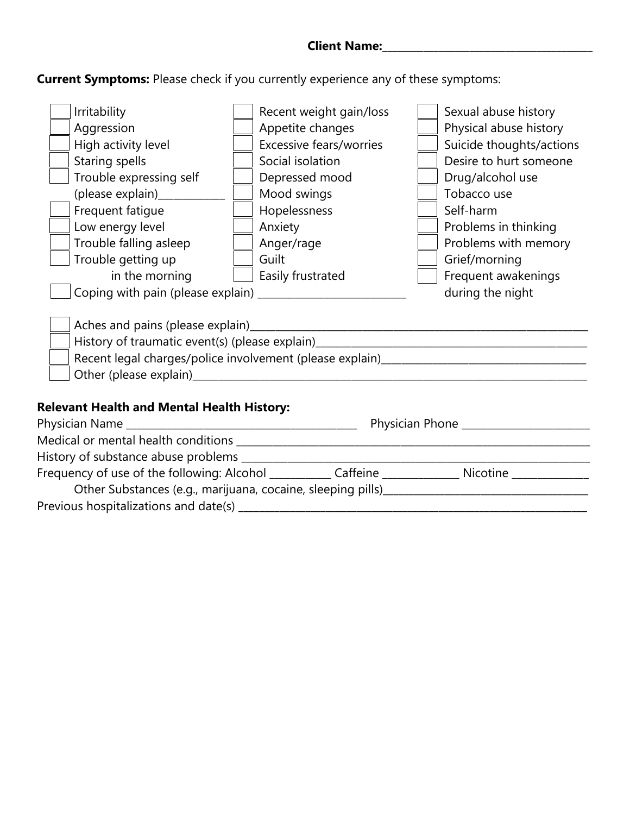**Current Symptoms:** Please check if you currently experience any of these symptoms:

| Irritability                                                                                        | Recent weight gain/loss | Sexual abuse history     |  |  |
|-----------------------------------------------------------------------------------------------------|-------------------------|--------------------------|--|--|
|                                                                                                     |                         |                          |  |  |
| Aggression                                                                                          | Appetite changes        | Physical abuse history   |  |  |
| High activity level                                                                                 | Excessive fears/worries | Suicide thoughts/actions |  |  |
| Staring spells                                                                                      | Social isolation        | Desire to hurt someone   |  |  |
| Trouble expressing self                                                                             | Depressed mood          | Drug/alcohol use         |  |  |
| (please explain)_________                                                                           | Mood swings             | Tobacco use              |  |  |
| Frequent fatigue                                                                                    | Hopelessness            | Self-harm                |  |  |
| Low energy level                                                                                    | Anxiety                 | Problems in thinking     |  |  |
| Trouble falling asleep                                                                              | Anger/rage              | Problems with memory     |  |  |
| Trouble getting up                                                                                  | Guilt                   | Grief/morning            |  |  |
| in the morning                                                                                      | Easily frustrated       | Frequent awakenings      |  |  |
| during the night                                                                                    |                         |                          |  |  |
| History of traumatic event(s) (please explain)__________________________________                    |                         |                          |  |  |
| Recent legal charges/police involvement (please explain)________________________                    |                         |                          |  |  |
|                                                                                                     |                         |                          |  |  |
|                                                                                                     |                         |                          |  |  |
|                                                                                                     |                         |                          |  |  |
| <b>Relevant Health and Mental Health History:</b>                                                   |                         |                          |  |  |
| Physician Phone _____________                                                                       |                         |                          |  |  |
|                                                                                                     |                         |                          |  |  |
|                                                                                                     |                         |                          |  |  |
| Frequency of use of the following: Alcohol ____________ Caffeine _____________ Nicotine ___________ |                         |                          |  |  |
|                                                                                                     |                         |                          |  |  |
|                                                                                                     |                         |                          |  |  |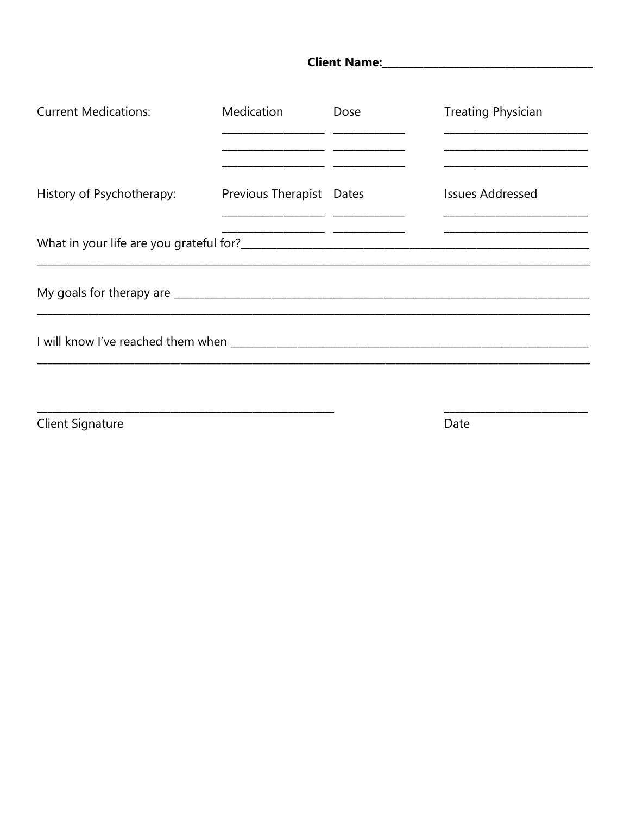Client Name: 1988 Manual Manual Manual Manual Manual Manual Manual Manual Manual Manual Manual Manual Manual M

| <b>Current Medications:</b> | Medication               | Dose | <b>Treating Physician</b> |
|-----------------------------|--------------------------|------|---------------------------|
|                             |                          |      |                           |
| History of Psychotherapy:   | Previous Therapist Dates |      | <b>Issues Addressed</b>   |
|                             |                          |      |                           |
|                             |                          |      |                           |
|                             |                          |      |                           |
|                             |                          |      |                           |
| <b>Client Signature</b>     |                          |      | Date                      |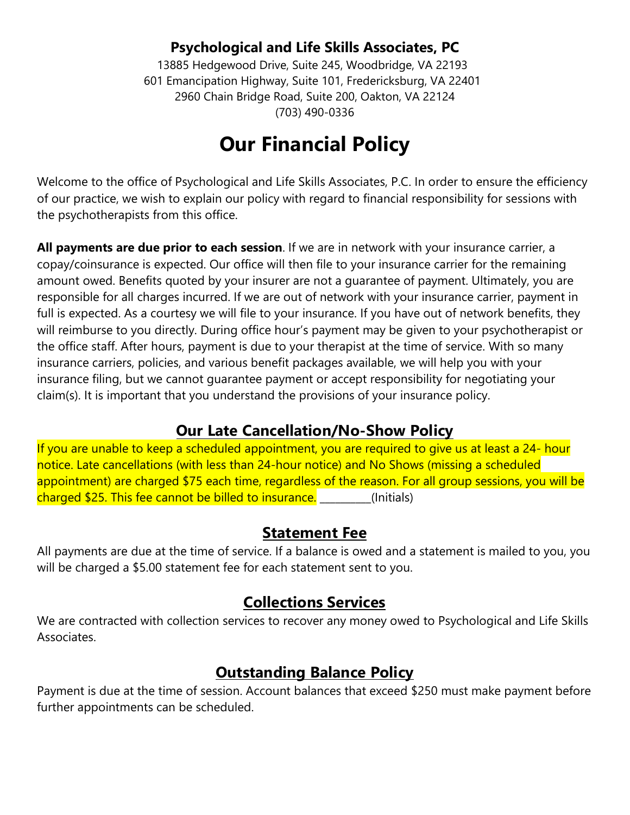13885 Hedgewood Drive, Suite 245, Woodbridge, VA 22193 601 Emancipation Highway, Suite 101, Fredericksburg, VA 22401 2960 Chain Bridge Road, Suite 200, Oakton, VA 22124 (703) 490-0336

# **Our Financial Policy**

Welcome to the office of Psychological and Life Skills Associates, P.C. In order to ensure the efficiency of our practice, we wish to explain our policy with regard to financial responsibility for sessions with the psychotherapists from this office.

**All payments are due prior to each session**. If we are in network with your insurance carrier, a copay/coinsurance is expected. Our office will then file to your insurance carrier for the remaining amount owed. Benefits quoted by your insurer are not a guarantee of payment. Ultimately, you are responsible for all charges incurred. If we are out of network with your insurance carrier, payment in full is expected. As a courtesy we will file to your insurance. If you have out of network benefits, they will reimburse to you directly. During office hour's payment may be given to your psychotherapist or the office staff. After hours, payment is due to your therapist at the time of service. With so many insurance carriers, policies, and various benefit packages available, we will help you with your insurance filing, but we cannot guarantee payment or accept responsibility for negotiating your claim(s). It is important that you understand the provisions of your insurance policy.

### **Our Late Cancellation/No-Show Policy**

If you are unable to keep a scheduled appointment, you are required to give us at least a 24- hour notice. Late cancellations (with less than 24-hour notice) and No Shows (missing a scheduled appointment) are charged \$75 each time, regardless of the reason. For all group sessions, you will be charged \$25. This fee cannot be billed to insurance. **The algebra** (Initials)

### **Statement Fee**

All payments are due at the time of service. If a balance is owed and a statement is mailed to you, you will be charged a \$5.00 statement fee for each statement sent to you.

### **Collections Services**

We are contracted with collection services to recover any money owed to Psychological and Life Skills Associates.

## **Outstanding Balance Policy**

Payment is due at the time of session. Account balances that exceed \$250 must make payment before further appointments can be scheduled.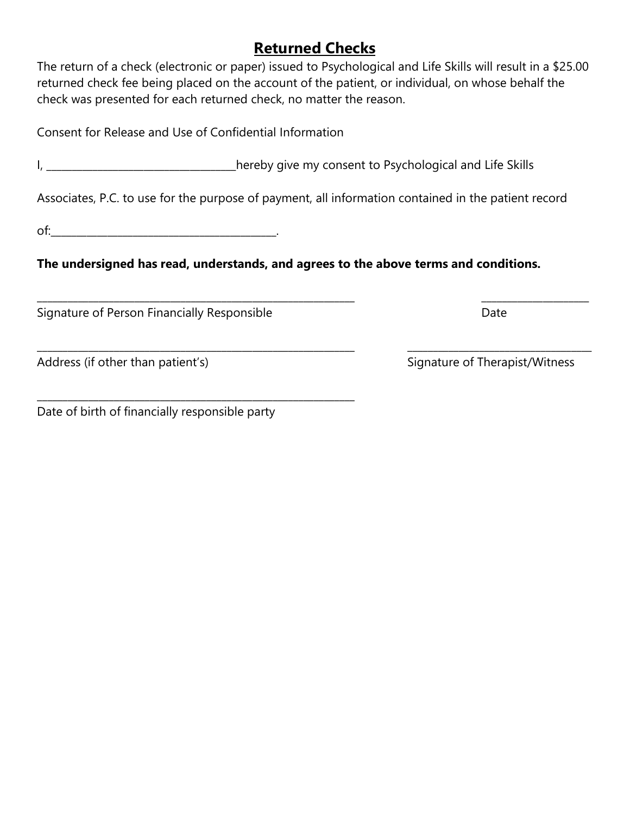# **Returned Checks**

The return of a check (electronic or paper) issued to Psychological and Life Skills will result in a \$25.00 returned check fee being placed on the account of the patient, or individual, on whose behalf the check was presented for each returned check, no matter the reason.

Consent for Release and Use of Confidential Information

I, \_\_\_\_\_\_\_\_\_\_\_\_\_\_\_\_\_\_\_\_\_\_\_\_\_\_\_\_\_\_\_hereby give my consent to Psychological and Life Skills

Associates, P.C. to use for the purpose of payment, all information contained in the patient record

of:\_\_\_\_\_\_\_\_\_\_\_\_\_\_\_\_\_\_\_\_\_\_\_\_\_\_\_\_\_\_\_\_\_\_\_\_\_\_\_\_\_\_\_\_.

**The undersigned has read, understands, and agrees to the above terms and conditions.**

\_\_\_\_\_\_\_\_\_\_\_\_\_\_\_\_\_\_\_\_\_\_\_\_\_\_\_\_\_\_\_\_\_\_\_\_\_\_\_\_\_\_\_\_\_\_\_\_\_\_\_\_\_\_\_\_\_\_\_\_\_\_ \_\_\_\_\_\_\_\_\_\_\_\_\_\_\_\_\_\_\_\_\_ Signature of Person Financially Responsible **Example 2018** Date

\_\_\_\_\_\_\_\_\_\_\_\_\_\_\_\_\_\_\_\_\_\_\_\_\_\_\_\_\_\_\_\_\_\_\_\_\_\_\_\_\_\_\_\_\_\_\_\_\_\_\_\_\_\_\_\_\_\_\_\_\_\_ \_\_\_\_\_\_\_\_\_\_\_\_\_\_\_\_\_\_\_\_\_\_\_\_\_\_\_\_\_\_\_\_\_\_\_\_ Address (if other than patient's) and a subset of Therapist/Witness Signature of Therapist/Witness

\_\_\_\_\_\_\_\_\_\_\_\_\_\_\_\_\_\_\_\_\_\_\_\_\_\_\_\_\_\_\_\_\_\_\_\_\_\_\_\_\_\_\_\_\_\_\_\_\_\_\_\_\_\_\_\_\_\_\_\_\_\_ Date of birth of financially responsible party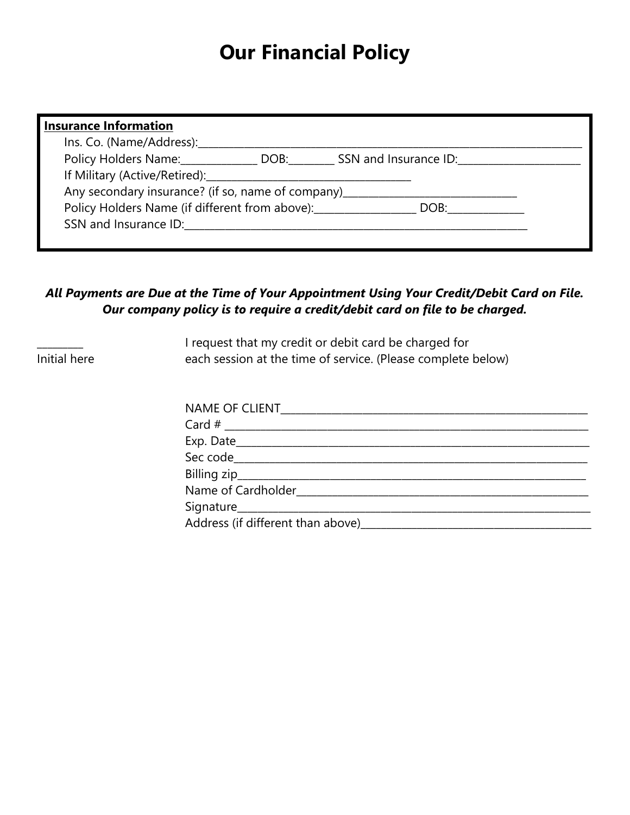# **Our Financial Policy**

| <b>Insurance Information</b>                                                     |  |
|----------------------------------------------------------------------------------|--|
| Ins. Co. (Name/Address):                                                         |  |
|                                                                                  |  |
| If Military (Active/Retired):______________________                              |  |
| Any secondary insurance? (if so, name of company)_______________________________ |  |
| Policy Holders Name (if different from above): DOB: DOB: DOB:                    |  |
|                                                                                  |  |
|                                                                                  |  |

#### *All Payments are Due at the Time of Your Appointment Using Your Credit/Debit Card on File. Our company policy is to require a credit/debit card on file to be charged.*

I request that my credit or debit card be charged for Initial here **Each session at the time of service.** (Please complete below)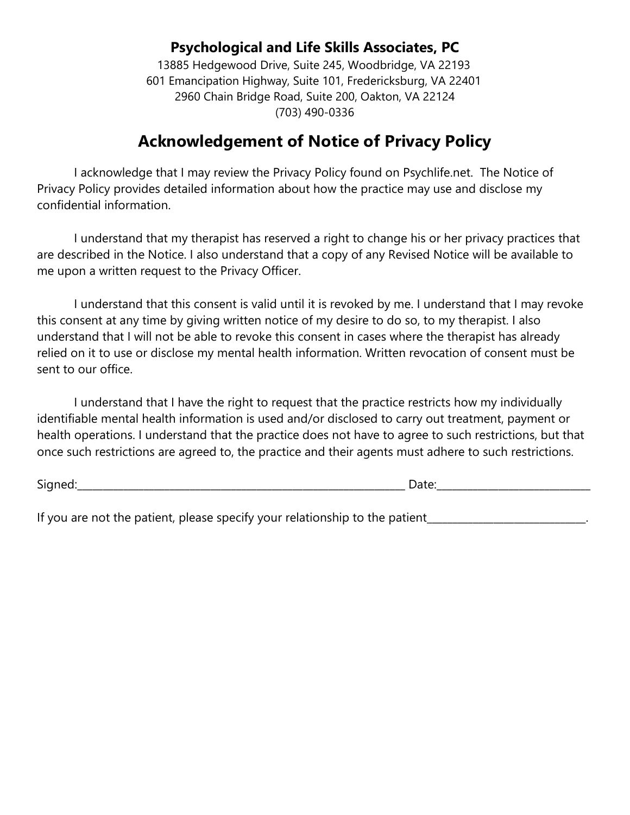13885 Hedgewood Drive, Suite 245, Woodbridge, VA 22193 601 Emancipation Highway, Suite 101, Fredericksburg, VA 22401 2960 Chain Bridge Road, Suite 200, Oakton, VA 22124 (703) 490-0336

# **Acknowledgement of Notice of Privacy Policy**

I acknowledge that I may review the Privacy Policy found on Psychlife.net. The Notice of Privacy Policy provides detailed information about how the practice may use and disclose my confidential information.

I understand that my therapist has reserved a right to change his or her privacy practices that are described in the Notice. I also understand that a copy of any Revised Notice will be available to me upon a written request to the Privacy Officer.

I understand that this consent is valid until it is revoked by me. I understand that I may revoke this consent at any time by giving written notice of my desire to do so, to my therapist. I also understand that I will not be able to revoke this consent in cases where the therapist has already relied on it to use or disclose my mental health information. Written revocation of consent must be sent to our office.

I understand that I have the right to request that the practice restricts how my individually identifiable mental health information is used and/or disclosed to carry out treatment, payment or health operations. I understand that the practice does not have to agree to such restrictions, but that once such restrictions are agreed to, the practice and their agents must adhere to such restrictions.

Signed:\_\_\_\_\_\_\_\_\_\_\_\_\_\_\_\_\_\_\_\_\_\_\_\_\_\_\_\_\_\_\_\_\_\_\_\_\_\_\_\_\_\_\_\_\_\_\_\_\_\_\_\_\_\_\_\_\_\_\_\_\_\_\_\_ Date:\_\_\_\_\_\_\_\_\_\_\_\_\_\_\_\_\_\_\_\_\_\_\_\_\_\_\_\_\_\_

If you are not the patient, please specify your relationship to the patient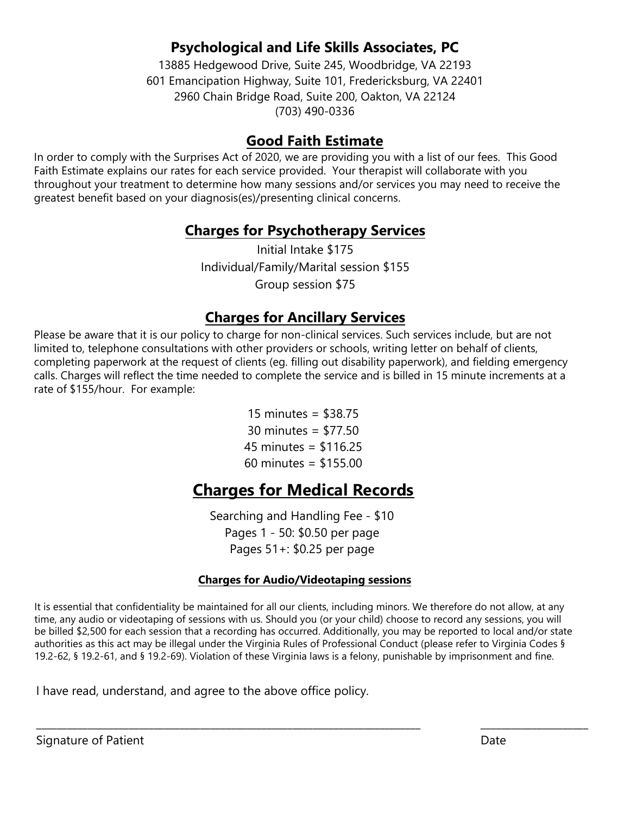13885 Hedgewood Drive, Suite 245, Woodbridge, VA 22193 601 Emancipation Highway, Suite 101, Fredericksburg, VA 22401 2960 Chain Bridge Road, Suite 200, Oakton, VA 22124 (703) 490-0336

#### **Good Faith Estimate**

In order to comply with the Surprises Act of 2020, we are providing you with a list of our fees. This Good Faith Estimate explains our rates for each service provided. Your therapist will collaborate with you throughout your treatment to determine how many sessions and/or services you may need to receive the greatest benefit based on your diagnosis(es)/presenting clinical concerns.

#### **Charges for Psychotherapy Services**

Initial Intake \$175 Individual/Family/Marital session \$155 Group session \$75

#### **Charges for Ancillary Services**

Please be aware that it is our policy to charge for non-clinical services. Such services include, but are not limited to, telephone consultations with other providers or schools, writing letter on behalf of clients, completing paperwork at the request of clients (eg. filling out disability paperwork), and fielding emergency calls. Charges will reflect the time needed to complete the service and is billed in 15 minute increments at a rate of \$155/hour. For example:

> 15 minutes = \$38.75 30 minutes = \$77.50 45 minutes = \$116.25 60 minutes = \$155.00

# **Charges for Medical Records**

Searching and Handling Fee - \$10 Pages 1 - 50: \$0.50 per page Pages 51+: \$0.25 per page

#### **Charges for Audio/Videotaping sessions**

It is essential that confidentiality be maintained for all our clients, including minors. We therefore do not allow, at any time, any audio or videotaping of sessions with us. Should you (or your child) choose to record any sessions, you will be billed \$2,500 for each session that a recording has occurred. Additionally, you may be reported to local and/or state authorities as this act may be illegal under the Virginia Rules of Professional Conduct (please refer to Virginia Codes § 19.2-62, § 19.2-61, and § 19.2-69). Violation of these Virginia laws is a felony, punishable by imprisonment and fine.

I have read, understand, and agree to the above office policy.

\_\_\_\_\_\_\_\_\_\_\_\_\_\_\_\_\_\_\_\_\_\_\_\_\_\_\_\_\_\_\_\_\_\_\_\_\_\_\_\_\_\_\_\_\_\_\_\_\_\_\_\_\_\_\_\_\_\_\_\_\_\_\_\_\_\_\_\_\_\_\_\_\_\_\_

\_\_\_\_\_\_\_\_\_\_\_\_\_\_\_\_\_\_\_\_\_